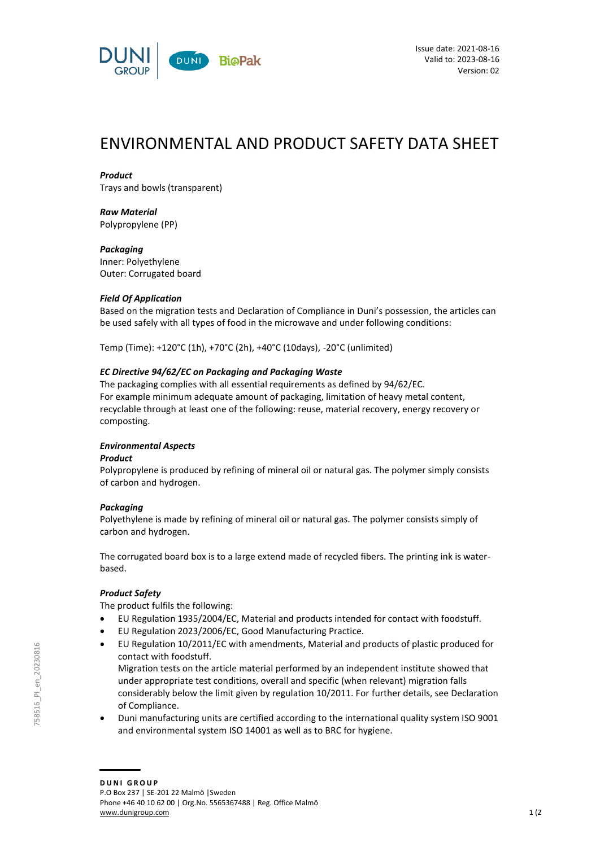

# ENVIRONMENTAL AND PRODUCT SAFETY DATA SHEET

### *Product*

Trays and bowls (transparent)

#### *Raw Material* Polypropylene (PP)

*Packaging* Inner: Polyethylene Outer: Corrugated board

## *Field Of Application*

Based on the migration tests and Declaration of Compliance in Duni's possession, the articles can be used safely with all types of food in the microwave and under following conditions:

Temp (Time): +120°C (1h), +70°C (2h), +40°C (10days), -20°C (unlimited)

## *EC Directive 94/62/EC on Packaging and Packaging Waste*

The packaging complies with all essential requirements as defined by 94/62/EC. For example minimum adequate amount of packaging, limitation of heavy metal content, recyclable through at least one of the following: reuse, material recovery, energy recovery or composting.

# *Environmental Aspects*

### *Product*

Polypropylene is produced by refining of mineral oil or natural gas. The polymer simply consists of carbon and hydrogen.

# *Packaging*

Polyethylene is made by refining of mineral oil or natural gas. The polymer consists simply of carbon and hydrogen.

The corrugated board box is to a large extend made of recycled fibers. The printing ink is waterbased.

# *Product Safety*

The product fulfils the following:

- EU Regulation 1935/2004/EC, Material and products intended for contact with foodstuff.
- EU Regulation 2023/2006/EC, Good Manufacturing Practice.
- EU Regulation 10/2011/EC with amendments, Material and products of plastic produced for contact with foodstuff.

Migration tests on the article material performed by an independent institute showed that under appropriate test conditions, overall and specific (when relevant) migration falls considerably below the limit given by regulation 10/2011. For further details, see Declaration of Compliance.

 Duni manufacturing units are certified according to the international quality system ISO 9001 and environmental system ISO 14001 as well as to BRC for hygiene.